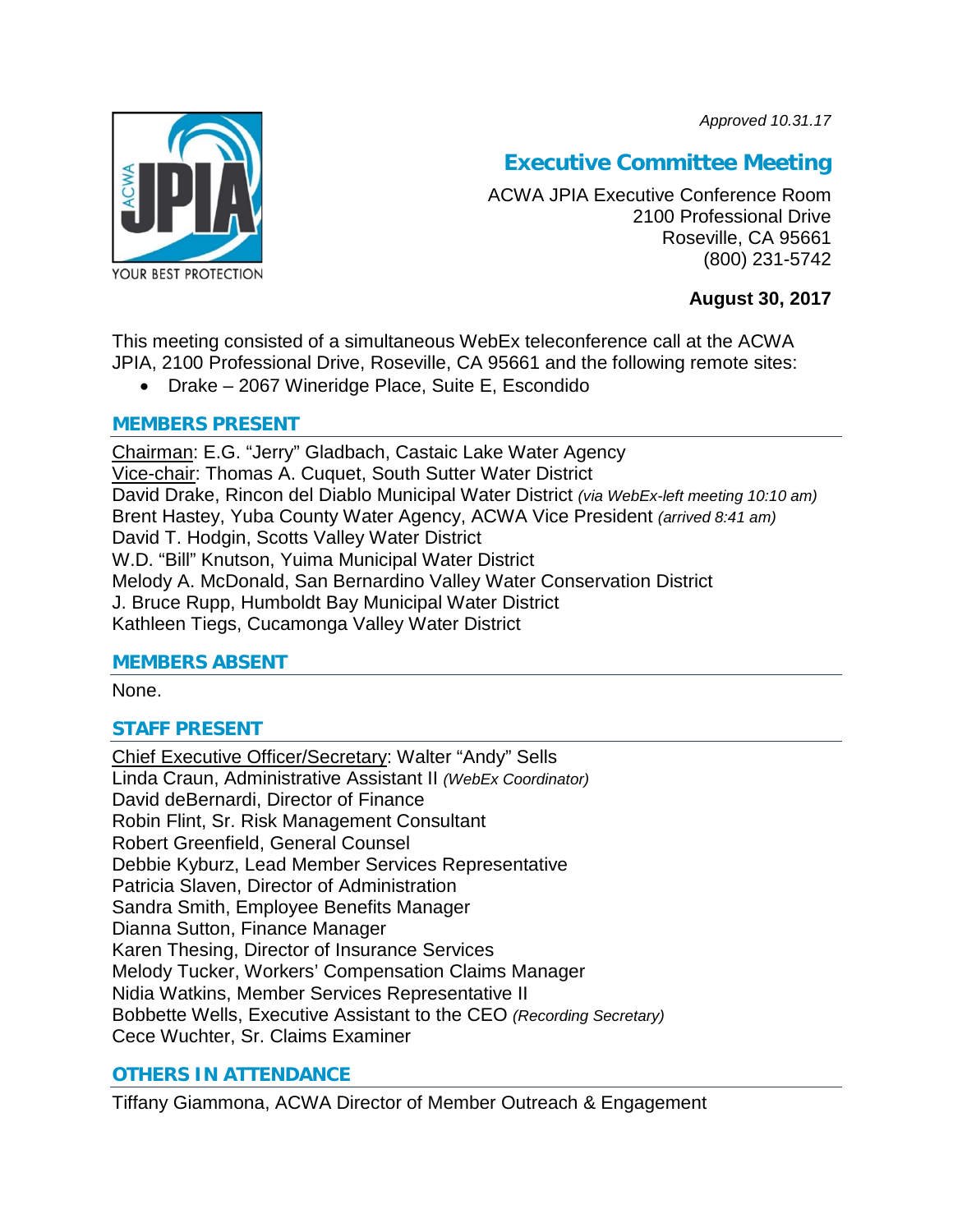*Approved 10.31.17*



# **Executive Committee Meeting**

ACWA JPIA Executive Conference Room 2100 Professional Drive Roseville, CA 95661 (800) 231-5742

# **August 30, 2017**

This meeting consisted of a simultaneous WebEx teleconference call at the ACWA JPIA, 2100 Professional Drive, Roseville, CA 95661 and the following remote sites:

• Drake – 2067 Wineridge Place, Suite E, Escondido

# **MEMBERS PRESENT**

Chairman: E.G. "Jerry" Gladbach, Castaic Lake Water Agency Vice-chair: Thomas A. Cuquet, South Sutter Water District David Drake, Rincon del Diablo Municipal Water District *(via WebEx-left meeting 10:10 am)* Brent Hastey, Yuba County Water Agency, ACWA Vice President *(arrived 8:41 am)* David T. Hodgin, Scotts Valley Water District W.D. "Bill" Knutson, Yuima Municipal Water District Melody A. McDonald, San Bernardino Valley Water Conservation District J. Bruce Rupp, Humboldt Bay Municipal Water District Kathleen Tiegs, Cucamonga Valley Water District

# **MEMBERS ABSENT**

None.

# **STAFF PRESENT**

Chief Executive Officer/Secretary: Walter "Andy" Sells Linda Craun, Administrative Assistant II *(WebEx Coordinator)* David deBernardi, Director of Finance Robin Flint, Sr. Risk Management Consultant Robert Greenfield, General Counsel Debbie Kyburz, Lead Member Services Representative Patricia Slaven, Director of Administration Sandra Smith, Employee Benefits Manager Dianna Sutton, Finance Manager Karen Thesing, Director of Insurance Services Melody Tucker, Workers' Compensation Claims Manager Nidia Watkins, Member Services Representative II Bobbette Wells, Executive Assistant to the CEO *(Recording Secretary)* Cece Wuchter, Sr. Claims Examiner

# **OTHERS IN ATTENDANCE**

Tiffany Giammona, ACWA Director of Member Outreach & Engagement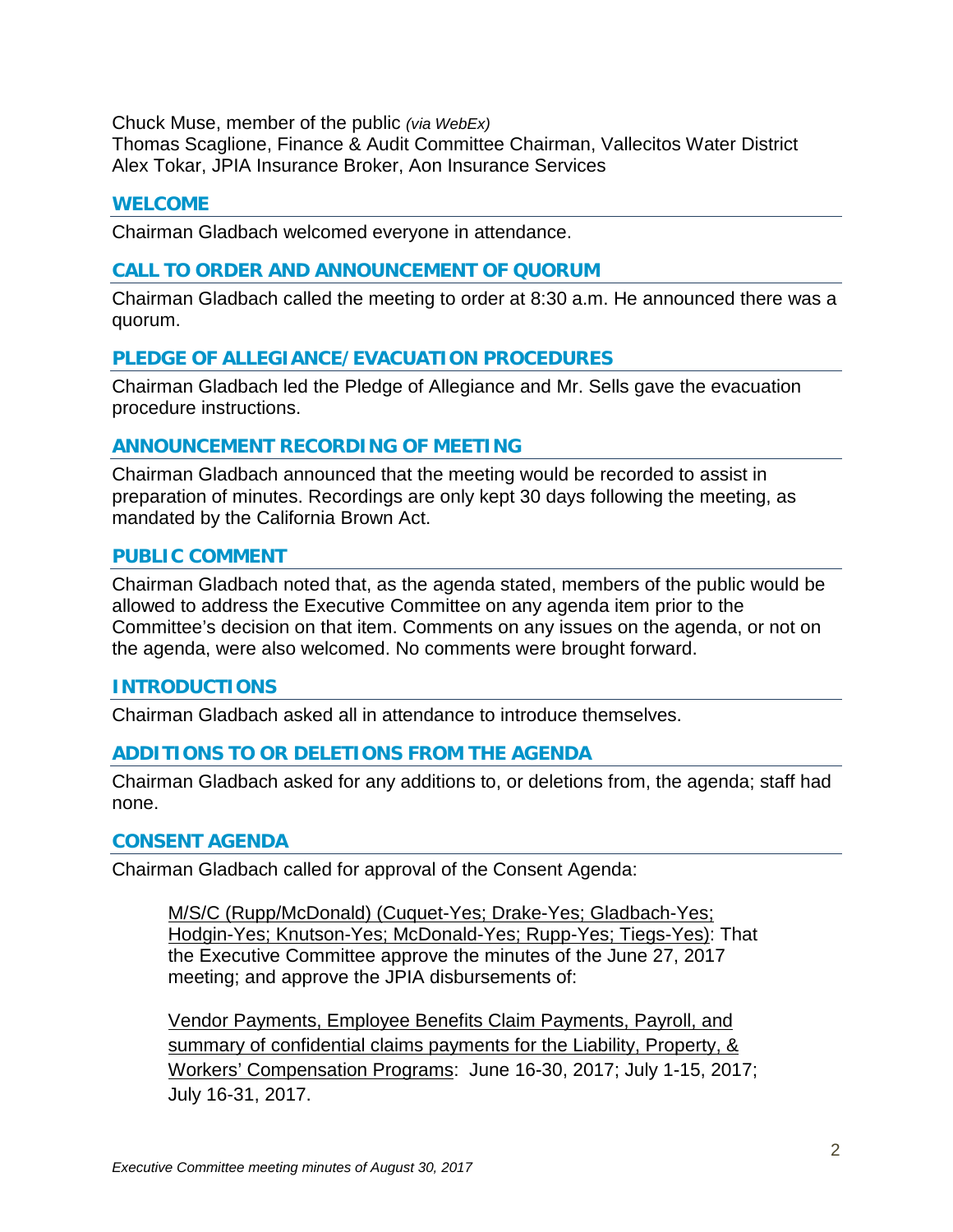Chuck Muse, member of the public *(via WebEx)*

Thomas Scaglione, Finance & Audit Committee Chairman, Vallecitos Water District Alex Tokar, JPIA Insurance Broker, Aon Insurance Services

### **WELCOME**

Chairman Gladbach welcomed everyone in attendance.

# **CALL TO ORDER AND ANNOUNCEMENT OF QUORUM**

Chairman Gladbach called the meeting to order at 8:30 a.m. He announced there was a quorum.

### **PLEDGE OF ALLEGIANCE/EVACUATION PROCEDURES**

Chairman Gladbach led the Pledge of Allegiance and Mr. Sells gave the evacuation procedure instructions.

### **ANNOUNCEMENT RECORDING OF MEETING**

Chairman Gladbach announced that the meeting would be recorded to assist in preparation of minutes. Recordings are only kept 30 days following the meeting, as mandated by the California Brown Act.

### **PUBLIC COMMENT**

Chairman Gladbach noted that, as the agenda stated, members of the public would be allowed to address the Executive Committee on any agenda item prior to the Committee's decision on that item. Comments on any issues on the agenda, or not on the agenda, were also welcomed. No comments were brought forward.

#### **INTRODUCTIONS**

Chairman Gladbach asked all in attendance to introduce themselves.

# **ADDITIONS TO OR DELETIONS FROM THE AGENDA**

Chairman Gladbach asked for any additions to, or deletions from, the agenda; staff had none.

#### **CONSENT AGENDA**

Chairman Gladbach called for approval of the Consent Agenda:

M/S/C (Rupp/McDonald) (Cuquet-Yes; Drake-Yes; Gladbach-Yes; Hodgin-Yes; Knutson-Yes; McDonald-Yes; Rupp-Yes; Tiegs-Yes): That the Executive Committee approve the minutes of the June 27, 2017 meeting; and approve the JPIA disbursements of:

Vendor Payments, Employee Benefits Claim Payments, Payroll, and summary of confidential claims payments for the Liability, Property, & Workers' Compensation Programs: June 16-30, 2017; July 1-15, 2017; July 16-31, 2017.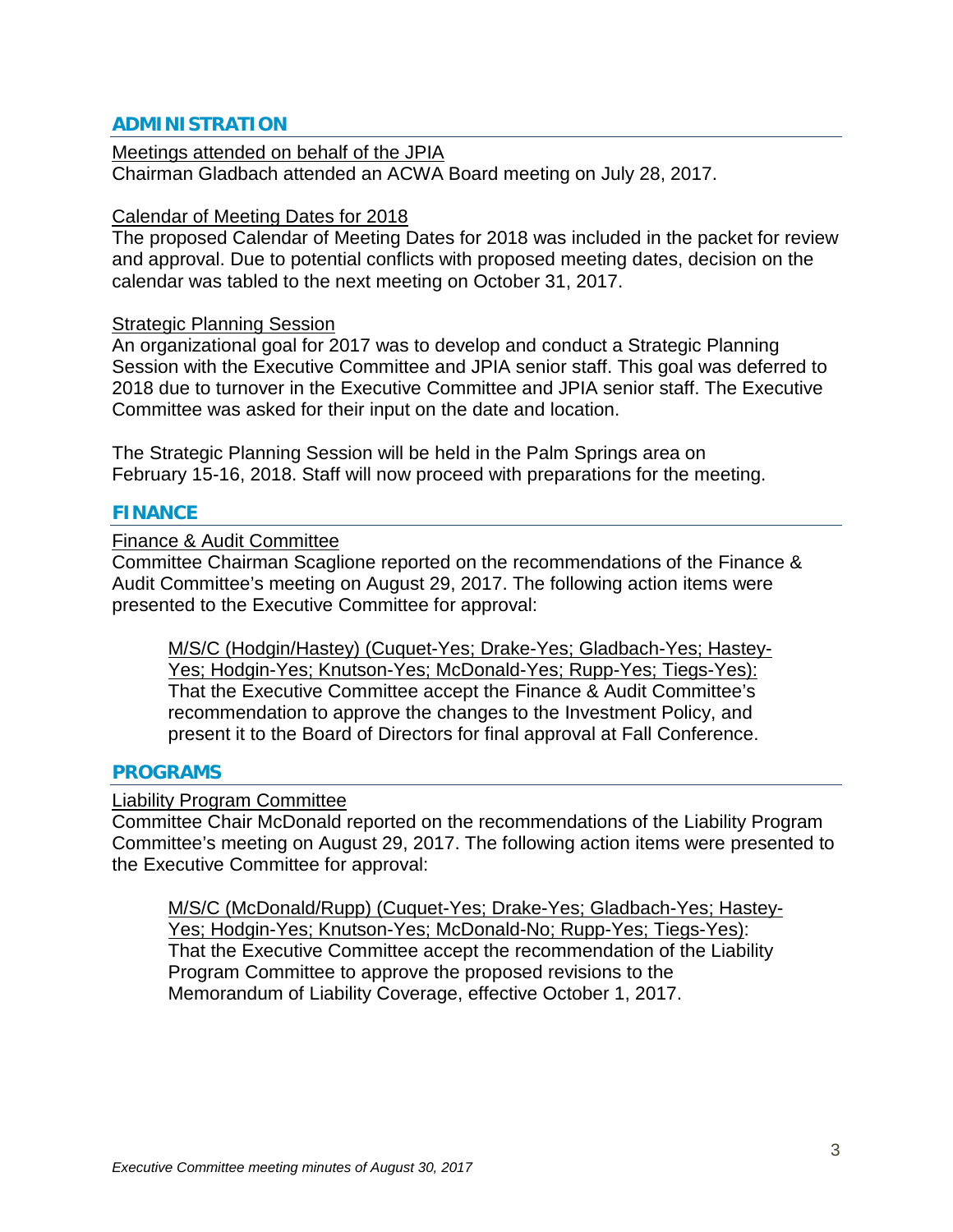## **ADMINISTRATION**

Meetings attended on behalf of the JPIA Chairman Gladbach attended an ACWA Board meeting on July 28, 2017.

#### Calendar of Meeting Dates for 2018

The proposed Calendar of Meeting Dates for 2018 was included in the packet for review and approval. Due to potential conflicts with proposed meeting dates, decision on the calendar was tabled to the next meeting on October 31, 2017.

#### Strategic Planning Session

An organizational goal for 2017 was to develop and conduct a Strategic Planning Session with the Executive Committee and JPIA senior staff. This goal was deferred to 2018 due to turnover in the Executive Committee and JPIA senior staff. The Executive Committee was asked for their input on the date and location.

The Strategic Planning Session will be held in the Palm Springs area on February 15-16, 2018. Staff will now proceed with preparations for the meeting.

#### **FINANCE**

### Finance & Audit Committee

Committee Chairman Scaglione reported on the recommendations of the Finance & Audit Committee's meeting on August 29, 2017. The following action items were presented to the Executive Committee for approval:

M/S/C (Hodgin/Hastey) (Cuquet-Yes; Drake-Yes; Gladbach-Yes; Hastey-Yes; Hodgin-Yes; Knutson-Yes; McDonald-Yes; Rupp-Yes; Tiegs-Yes): That the Executive Committee accept the Finance & Audit Committee's recommendation to approve the changes to the Investment Policy, and present it to the Board of Directors for final approval at Fall Conference.

#### **PROGRAMS**

#### Liability Program Committee

Committee Chair McDonald reported on the recommendations of the Liability Program Committee's meeting on August 29, 2017. The following action items were presented to the Executive Committee for approval:

M/S/C (McDonald/Rupp) (Cuquet-Yes; Drake-Yes; Gladbach-Yes; Hastey-Yes; Hodgin-Yes; Knutson-Yes; McDonald-No; Rupp-Yes; Tiegs-Yes): That the Executive Committee accept the recommendation of the Liability Program Committee to approve the proposed revisions to the Memorandum of Liability Coverage, effective October 1, 2017.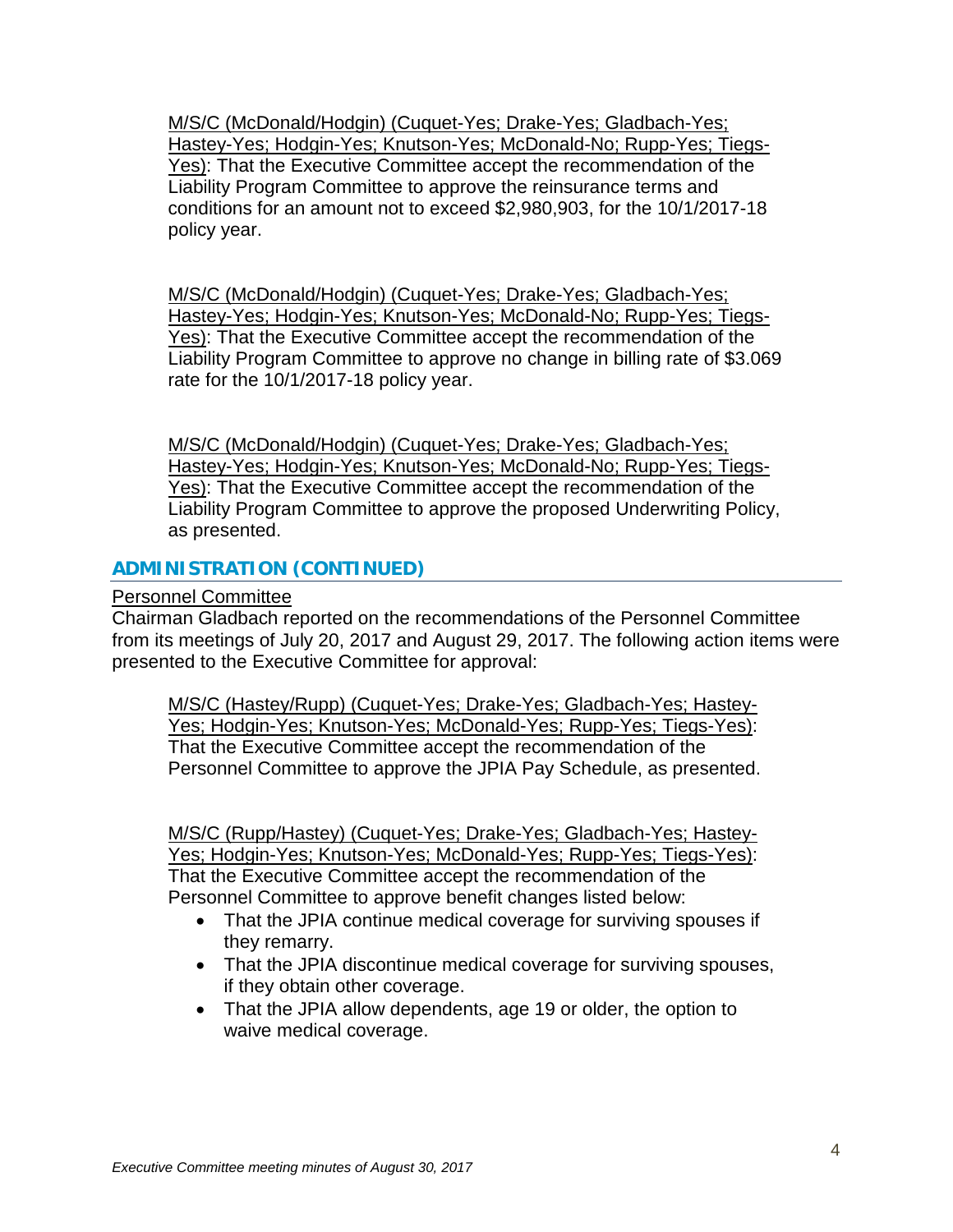M/S/C (McDonald/Hodgin) (Cuquet-Yes; Drake-Yes; Gladbach-Yes; Hastey-Yes; Hodgin-Yes; Knutson-Yes; McDonald-No; Rupp-Yes; Tiegs-Yes): That the Executive Committee accept the recommendation of the Liability Program Committee to approve the reinsurance terms and conditions for an amount not to exceed \$2,980,903, for the 10/1/2017-18 policy year.

M/S/C (McDonald/Hodgin) (Cuquet-Yes; Drake-Yes; Gladbach-Yes; Hastey-Yes; Hodgin-Yes; Knutson-Yes; McDonald-No; Rupp-Yes; Tiegs-Yes): That the Executive Committee accept the recommendation of the Liability Program Committee to approve no change in billing rate of \$3.069 rate for the 10/1/2017-18 policy year.

M/S/C (McDonald/Hodgin) (Cuquet-Yes; Drake-Yes; Gladbach-Yes; Hastey-Yes; Hodgin-Yes; Knutson-Yes; McDonald-No; Rupp-Yes; Tiegs-Yes): That the Executive Committee accept the recommendation of the Liability Program Committee to approve the proposed Underwriting Policy, as presented.

# **ADMINISTRATION (CONTINUED)**

Personnel Committee

Chairman Gladbach reported on the recommendations of the Personnel Committee from its meetings of July 20, 2017 and August 29, 2017. The following action items were presented to the Executive Committee for approval:

M/S/C (Hastey/Rupp) (Cuquet-Yes; Drake-Yes; Gladbach-Yes; Hastey-Yes; Hodgin-Yes; Knutson-Yes; McDonald-Yes; Rupp-Yes; Tiegs-Yes): That the Executive Committee accept the recommendation of the Personnel Committee to approve the JPIA Pay Schedule, as presented.

M/S/C (Rupp/Hastey) (Cuquet-Yes; Drake-Yes; Gladbach-Yes; Hastey-Yes; Hodgin-Yes; Knutson-Yes; McDonald-Yes; Rupp-Yes; Tiegs-Yes): That the Executive Committee accept the recommendation of the Personnel Committee to approve benefit changes listed below:

- That the JPIA continue medical coverage for surviving spouses if they remarry.
- That the JPIA discontinue medical coverage for surviving spouses, if they obtain other coverage.
- That the JPIA allow dependents, age 19 or older, the option to waive medical coverage.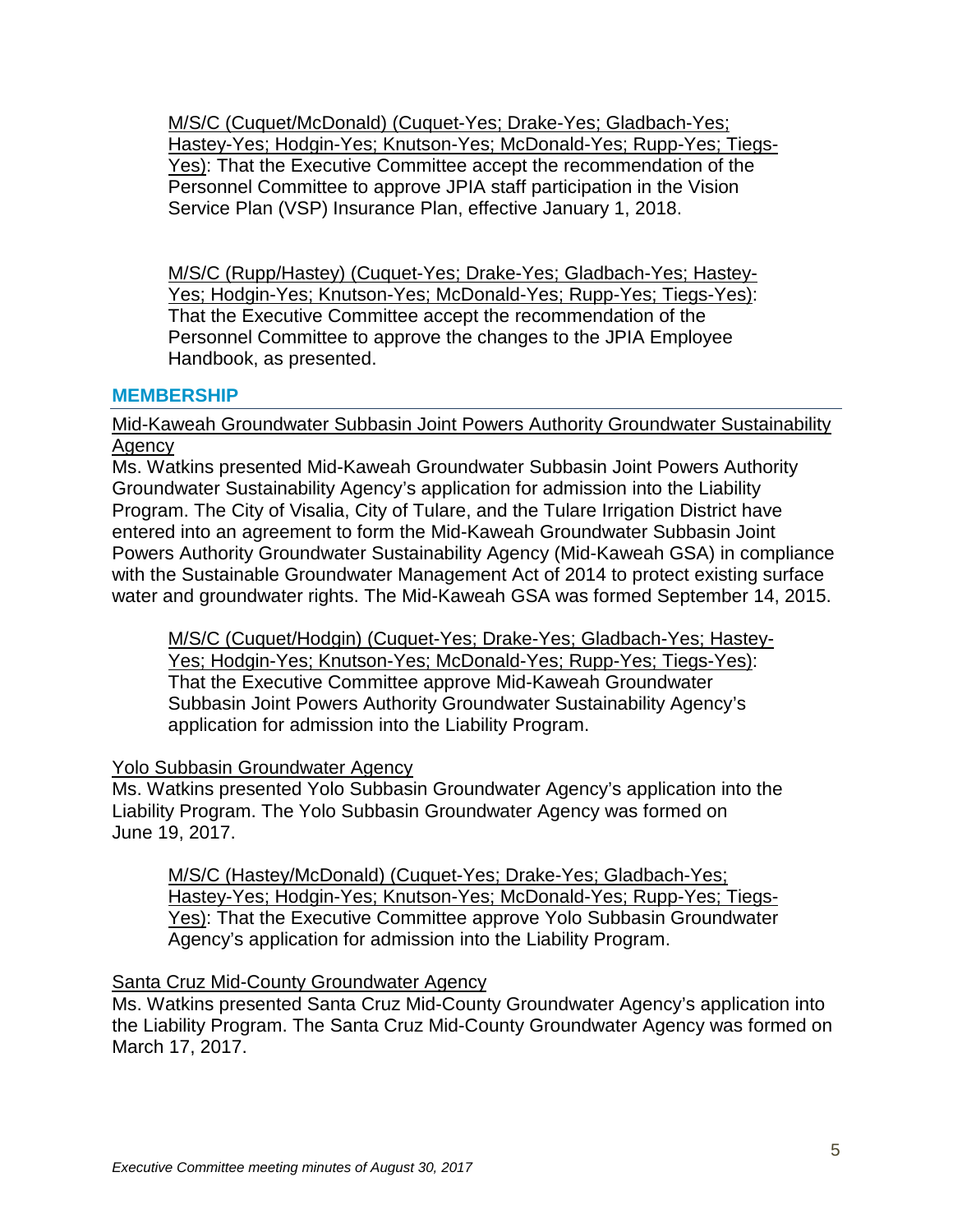M/S/C (Cuquet/McDonald) (Cuquet-Yes; Drake-Yes; Gladbach-Yes; Hastey-Yes; Hodgin-Yes; Knutson-Yes; McDonald-Yes; Rupp-Yes; Tiegs-Yes): That the Executive Committee accept the recommendation of the Personnel Committee to approve JPIA staff participation in the Vision Service Plan (VSP) Insurance Plan, effective January 1, 2018.

M/S/C (Rupp/Hastey) (Cuquet-Yes; Drake-Yes; Gladbach-Yes; Hastey-Yes; Hodgin-Yes; Knutson-Yes; McDonald-Yes; Rupp-Yes; Tiegs-Yes): That the Executive Committee accept the recommendation of the Personnel Committee to approve the changes to the JPIA Employee Handbook, as presented.

### **MEMBERSHIP**

## Mid-Kaweah Groundwater Subbasin Joint Powers Authority Groundwater Sustainability Agency

Ms. Watkins presented Mid-Kaweah Groundwater Subbasin Joint Powers Authority Groundwater Sustainability Agency's application for admission into the Liability Program. The City of Visalia, City of Tulare, and the Tulare Irrigation District have entered into an agreement to form the Mid-Kaweah Groundwater Subbasin Joint Powers Authority Groundwater Sustainability Agency (Mid-Kaweah GSA) in compliance with the Sustainable Groundwater Management Act of 2014 to protect existing surface water and groundwater rights. The Mid-Kaweah GSA was formed September 14, 2015.

M/S/C (Cuquet/Hodgin) (Cuquet-Yes; Drake-Yes; Gladbach-Yes; Hastey-Yes; Hodgin-Yes; Knutson-Yes; McDonald-Yes; Rupp-Yes; Tiegs-Yes): That the Executive Committee approve Mid-Kaweah Groundwater Subbasin Joint Powers Authority Groundwater Sustainability Agency's application for admission into the Liability Program.

#### Yolo Subbasin Groundwater Agency

Ms. Watkins presented Yolo Subbasin Groundwater Agency's application into the Liability Program. The Yolo Subbasin Groundwater Agency was formed on June 19, 2017.

M/S/C (Hastey/McDonald) (Cuquet-Yes; Drake-Yes; Gladbach-Yes; Hastey-Yes; Hodgin-Yes; Knutson-Yes; McDonald-Yes; Rupp-Yes; Tiegs-Yes): That the Executive Committee approve Yolo Subbasin Groundwater Agency's application for admission into the Liability Program.

# Santa Cruz Mid-County Groundwater Agency

Ms. Watkins presented Santa Cruz Mid-County Groundwater Agency's application into the Liability Program. The Santa Cruz Mid-County Groundwater Agency was formed on March 17, 2017.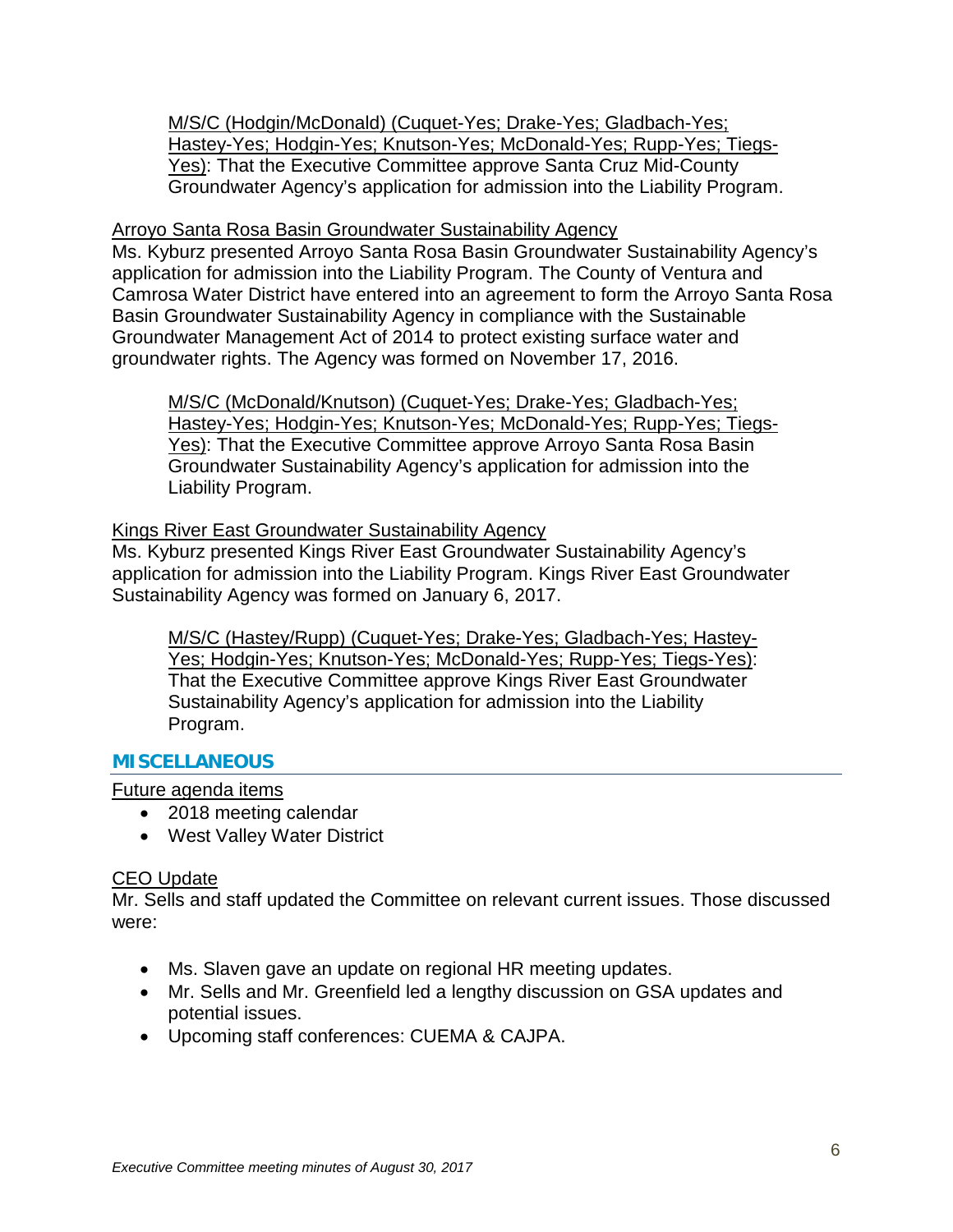M/S/C (Hodgin/McDonald) (Cuquet-Yes; Drake-Yes; Gladbach-Yes; Hastey-Yes; Hodgin-Yes; Knutson-Yes; McDonald-Yes; Rupp-Yes; Tiegs-Yes): That the Executive Committee approve Santa Cruz Mid-County Groundwater Agency's application for admission into the Liability Program.

# Arroyo Santa Rosa Basin Groundwater Sustainability Agency

Ms. Kyburz presented Arroyo Santa Rosa Basin Groundwater Sustainability Agency's application for admission into the Liability Program. The County of Ventura and Camrosa Water District have entered into an agreement to form the Arroyo Santa Rosa Basin Groundwater Sustainability Agency in compliance with the Sustainable Groundwater Management Act of 2014 to protect existing surface water and groundwater rights. The Agency was formed on November 17, 2016.

M/S/C (McDonald/Knutson) (Cuquet-Yes; Drake-Yes; Gladbach-Yes; Hastey-Yes; Hodgin-Yes; Knutson-Yes; McDonald-Yes; Rupp-Yes; Tiegs-Yes): That the Executive Committee approve Arroyo Santa Rosa Basin Groundwater Sustainability Agency's application for admission into the Liability Program.

# Kings River East Groundwater Sustainability Agency

Ms. Kyburz presented Kings River East Groundwater Sustainability Agency's application for admission into the Liability Program. Kings River East Groundwater Sustainability Agency was formed on January 6, 2017.

M/S/C (Hastey/Rupp) (Cuquet-Yes; Drake-Yes; Gladbach-Yes; Hastey-Yes; Hodgin-Yes; Knutson-Yes; McDonald-Yes; Rupp-Yes; Tiegs-Yes): That the Executive Committee approve Kings River East Groundwater Sustainability Agency's application for admission into the Liability Program.

# **MISCELLANEOUS**

Future agenda items

- 2018 meeting calendar
- West Valley Water District

# CEO Update

Mr. Sells and staff updated the Committee on relevant current issues. Those discussed were:

- Ms. Slaven gave an update on regional HR meeting updates.
- Mr. Sells and Mr. Greenfield led a lengthy discussion on GSA updates and potential issues.
- Upcoming staff conferences: CUEMA & CAJPA.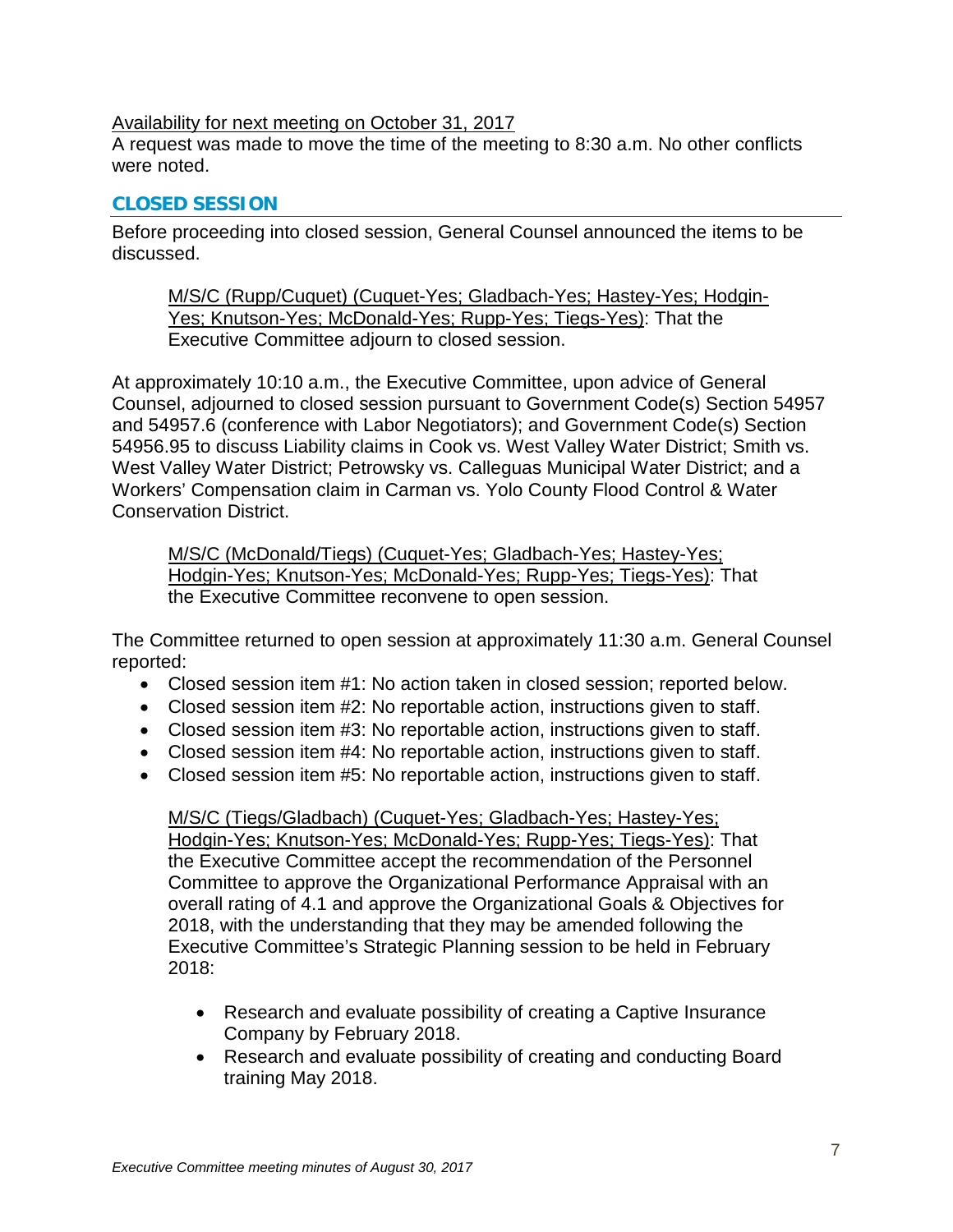# Availability for next meeting on October 31, 2017

A request was made to move the time of the meeting to 8:30 a.m. No other conflicts were noted.

### **CLOSED SESSION**

Before proceeding into closed session, General Counsel announced the items to be discussed.

M/S/C (Rupp/Cuquet) (Cuquet-Yes; Gladbach-Yes; Hastey-Yes; Hodgin-Yes; Knutson-Yes; McDonald-Yes; Rupp-Yes; Tiegs-Yes): That the Executive Committee adjourn to closed session.

At approximately 10:10 a.m., the Executive Committee, upon advice of General Counsel, adjourned to closed session pursuant to Government Code(s) Section 54957 and 54957.6 (conference with Labor Negotiators); and Government Code(s) Section 54956.95 to discuss Liability claims in Cook vs. West Valley Water District; Smith vs. West Valley Water District; Petrowsky vs. Calleguas Municipal Water District; and a Workers' Compensation claim in Carman vs. Yolo County Flood Control & Water Conservation District.

M/S/C (McDonald/Tiegs) (Cuquet-Yes; Gladbach-Yes; Hastey-Yes; Hodgin-Yes; Knutson-Yes; McDonald-Yes; Rupp-Yes; Tiegs-Yes): That the Executive Committee reconvene to open session.

The Committee returned to open session at approximately 11:30 a.m. General Counsel reported:

- Closed session item #1: No action taken in closed session; reported below.
- Closed session item #2: No reportable action, instructions given to staff.
- Closed session item #3: No reportable action, instructions given to staff.
- Closed session item #4: No reportable action, instructions given to staff.
- Closed session item #5: No reportable action, instructions given to staff.

M/S/C (Tiegs/Gladbach) (Cuquet-Yes; Gladbach-Yes; Hastey-Yes; Hodgin-Yes; Knutson-Yes; McDonald-Yes; Rupp-Yes; Tiegs-Yes): That the Executive Committee accept the recommendation of the Personnel Committee to approve the Organizational Performance Appraisal with an overall rating of 4.1 and approve the Organizational Goals & Objectives for 2018, with the understanding that they may be amended following the Executive Committee's Strategic Planning session to be held in February 2018:

- Research and evaluate possibility of creating a Captive Insurance Company by February 2018.
- Research and evaluate possibility of creating and conducting Board training May 2018.